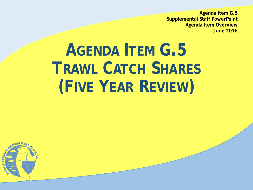**Agenda Item G.5 Supplemental Staff PowerPoint Agenda Item Overview June 2016**

# **AGENDA ITEM G.5 TRAWL CATCH SHARES (FIVE YEAR REVIEW)**

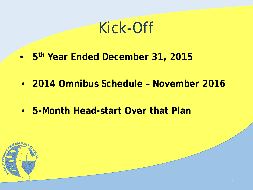### Kick-Off

- **5th Year Ended December 31, 2015**
- **2014 Omnibus Schedule – November 2016**
- **5-Month Head-start Over that Plan**

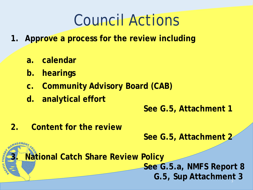## Council Actions

- **1. Approve a process for the review including** 
	- **a. calendar**
	- **b. hearings**
	- **c. Community Advisory Board (CAB)**
	- **d. analytical effort**

#### **See G.5, Attachment 1**

**2. Content for the review**

**See G.5, Attachment 2**

**3. National Catch Share Review Policy**

**See G.5.a, NMFS Report 8 G.5, Sup Attachment 3** 3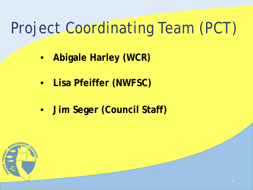## Project Coordinating Team (PCT)

- **Abigale Harley (WCR)**
- **Lisa Pfeiffer (NWFSC)**
- **Jim Seger (Council Staff)**

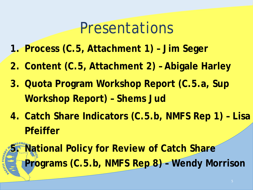### Presentations

- **1. Process (C.5, Attachment 1) – Jim Seger**
- **2. Content (C.5, Attachment 2) – Abigale Harley**
- **3. Quota Program Workshop Report (C.5.a, Sup Workshop Report) – Shems Jud**
- **4. Catch Share Indicators (C.5.b, NMFS Rep 1) – Lisa Pfeiffer**

**5. National Policy for Review of Catch Share Programs (C.5.b, NMFS Rep 8) – Wendy Morrison**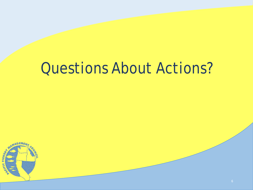## Questions About Actions?

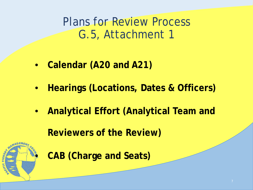Plans for Review Process G.5, Attachment 1

- **Calendar (A20 and A21)**
- **Hearings (Locations, Dates & Officers)**
- **Analytical Effort (Analytical Team and**

**Reviewers of the Review)**



• **CAB (Charge and Seats)**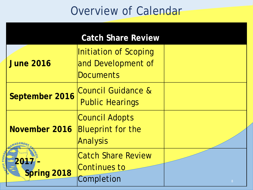|                    | <b>Catch Share Review</b>                                       |                |
|--------------------|-----------------------------------------------------------------|----------------|
| <b>June 2016</b>   | Initiation of Scoping<br>and Development of<br><b>Documents</b> |                |
| September 2016     | Council Guidance &<br><b>Public Hearings</b>                    |                |
| November 2016      | Council Adopts<br><b>Blueprint for the</b><br>Analysis          |                |
| 201<br>Spring 2018 | <b>Catch Share Review</b><br>Continues to<br>Completion         | 8 <sup>°</sup> |

CAPAC FISHE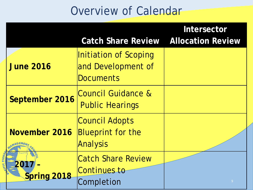|            |                     | <b>Catch Share Review</b>                                     | Intersector<br><b>Allocation Review</b> |
|------------|---------------------|---------------------------------------------------------------|-----------------------------------------|
|            | <b>June 2016</b>    | Initiation of Scoping<br>and Development of<br>Documents      |                                         |
|            | September 2016      | <b>Council Guidance &amp;</b><br><b>Public Hearings</b>       |                                         |
| <b>SER</b> | November 2016       | Council Adopts<br><b>Blueprint for the</b><br><b>Analysis</b> |                                         |
|            | 2017<br>Spring 2018 | <b>Catch Share Review</b><br>Continues_to<br>Completion       | 9                                       |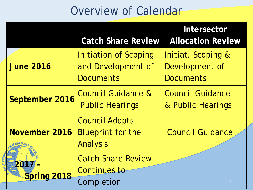|            |                     | <b>Catch Share Review</b>                                       | Intersector<br><b>Allocation Review</b>                  |
|------------|---------------------|-----------------------------------------------------------------|----------------------------------------------------------|
|            | <b>June 2016</b>    | Initiation of Scoping<br>and Development of<br><b>Documents</b> | Initiat. Scoping &<br>Development of<br><b>Documents</b> |
|            | September 2016      | Council Guidance &<br><b>Public Hearings</b>                    | Council Guidance<br>& Public Hearings                    |
| <b>SER</b> | November 2016       | Council Adopts<br><b>Blueprint for the</b><br><b>Analysis</b>   | <b>Council Guidance</b>                                  |
|            | 2017<br>Spring 2018 | <b>Catch Share Review</b><br>Continues to<br>Completion         | 10 <sup>°</sup>                                          |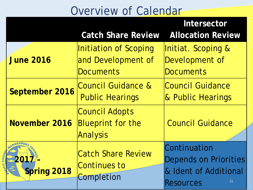|                            | Intersector                                                          |                                                                                          |  |  |  |
|----------------------------|----------------------------------------------------------------------|------------------------------------------------------------------------------------------|--|--|--|
|                            | <b>Catch Share Review</b>                                            | <b>Allocation Review</b>                                                                 |  |  |  |
| <b>June 2016</b>           | Initiation of Scoping<br>and Development of<br><b>Documents</b>      | Initiat. Scoping &<br>Development of<br><b>Documents</b>                                 |  |  |  |
| September 2016             | Council Guidance &<br><b>Public Hearings</b>                         | Council Guidance<br>& Public Hearings                                                    |  |  |  |
| November 2016              | <b>Council Adopts</b><br><b>Blueprint for the</b><br><b>Analysis</b> | <b>Council Guidance</b>                                                                  |  |  |  |
| 2017<br><b>Spring 2018</b> | <b>Catch Share Review</b><br>Continues to<br>Completion              | Continuation<br>Depends on Priorities<br>& Ident of Additional<br>11<br><b>Resources</b> |  |  |  |

CAPAC FISHE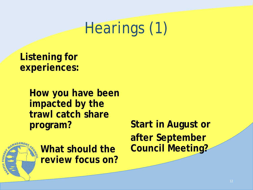# Hearings (1)

**Listening for experiences:** 

> **How you have been impacted by the trawl catch share program?**



**What should the review focus on?** **Start in August or after September Council Meeting?**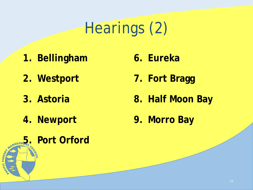# Hearings (2)

- **1. Bellingham**
- **2. Westport**
- **3. Astoria**
- **4. Newport**

**5. Port Orford** 

FISHE

- **6. Eureka**
- **7. Fort Bragg**
- **8. Half Moon Bay**
- **9. Morro Bay**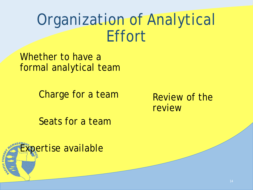## Organization of Analytical Effort

Whether to have a formal analytical team

Charge for a team

Review of the review

Seats for a team

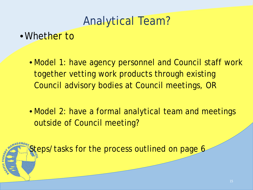### Analytical Team?

#### •Whether to

- Model 1: have agency personnel and Council staff work together vetting work products through existing Council advisory bodies at Council meetings, OR
- Model 2: have a formal analytical team and meetings outside of Council meeting?

Steps/tasks for the process outlined on page 6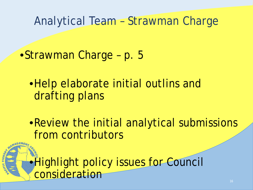Analytical Team – Strawman Charge

•Strawman Charge – p. 5

•Help elaborate initial outlins and drafting plans

•Review the initial analytical submissions from contributors

•Highlight policy issues for Council consideration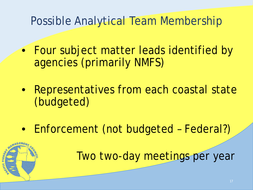### Possible Analytical Team Membership

- Four subject matter leads identified by agencies (primarily NMFS)
- Representatives from each coastal state (budgeted)
- Enforcement (not budgeted Federal?)

Two two-day meetings per year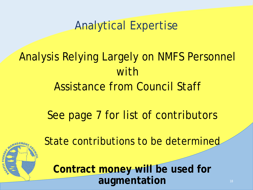Analytical Expertise

### Analysis Relying Largely on NMFS Personnel with Assistance from Council Staff

### See page 7 for list of contributors



State contributions to be determined

**Contract money will be used for augmentation**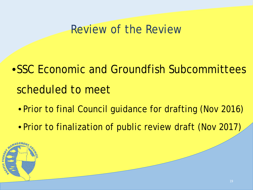### Review of the Review

- •SSC Economic and Groundfish Subcommittees scheduled to meet
	- Prior to final Council guidance for drafting (Nov 2016)
	- Prior to finalization of public review draft (Nov 2017)

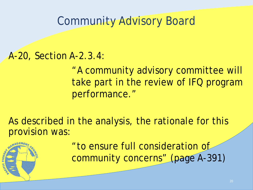### Community Advisory Board

#### A-20, Section A-2.3.4:

"A community advisory committee will take part in the review of IFQ program performance."

As described in the analysis, the rationale for this provision was:

> "to ensure full consideration of community concerns" (page A-391)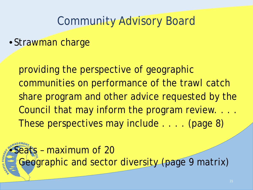### Community Advisory Board

• Strawman charge

providing the perspective of geographic communities on performance of the trawl catch share program and other advice requested by the Council that may inform the program review. . . . These perspectives may include . . . . (page 8)

• Seats – maximum of 20 Geographic and sector diversity (page 9 matrix)